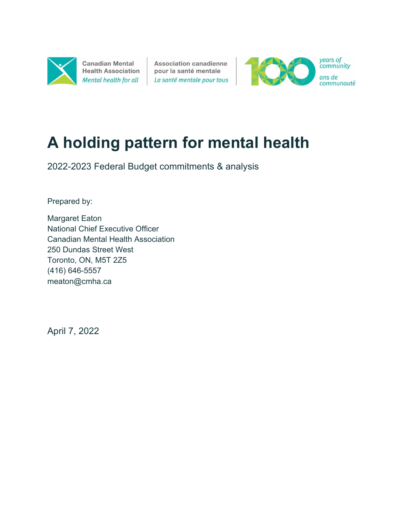

**Canadian Mental Health Association** Mental health for all

**Association canadienne** pour la santé mentale La santé mentale pour tous



# **A holding pattern for mental health**

2022-2023 Federal Budget commitments & analysis

Prepared by:

Margaret Eaton National Chief Executive Officer Canadian Mental Health Association 250 Dundas Street West Toronto, ON, M5T 2Z5 (416) 646-5557 meaton@cmha.ca

April 7, 2022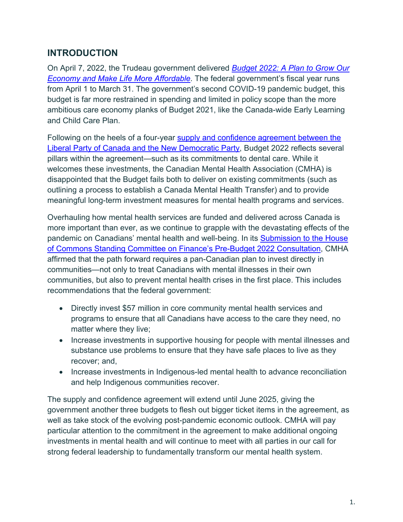# **INTRODUCTION**

On April 7, 2022, the Trudeau government delivered *[Budget 2022: A Plan to Grow Our](https://budget.gc.ca/2022/home-accueil-en.html)  [Economy and Make Life More Affordable](https://budget.gc.ca/2022/home-accueil-en.html)*. The federal government's fiscal year runs from April 1 to March 31. The government's second COVID-19 pandemic budget, this budget is far more restrained in spending and limited in policy scope than the more ambitious care economy planks of Budget 2021, like the Canada-wide Early Learning and Child Care Plan.

Following on the heels of a four-year supply and confidence agreement between the Liberal Party of Canada [and the New Democratic Party,](https://pm.gc.ca/en/news/news-releases/2022/03/22/delivering-canadians-now) Budget 2022 reflects several pillars within the agreement—such as its commitments to dental care. While it welcomes these investments, the Canadian Mental Health Association (CMHA) is disappointed that the Budget fails both to deliver on existing commitments (such as outlining a process to establish a Canada Mental Health Transfer) and to provide meaningful long-term investment measures for mental health programs and services.

Overhauling how mental health services are funded and delivered across Canada is more important than ever, as we continue to grapple with the devastating effects of the pandemic on Canadians' mental health and well-being. In its [Submission to the House](https://cmha.ca/wp-content/uploads/2021/09/CMHA-PBS-2022-FINAL.pdf)  [of Commons Standing Committee on Finance's Pre-Budget 2022 Consultation,](https://cmha.ca/wp-content/uploads/2021/09/CMHA-PBS-2022-FINAL.pdf) CMHA affirmed that the path forward requires a pan-Canadian plan to invest directly in communities—not only to treat Canadians with mental illnesses in their own communities, but also to prevent mental health crises in the first place. This includes recommendations that the federal government:

- Directly invest \$57 million in core community mental health services and programs to ensure that all Canadians have access to the care they need, no matter where they live;
- Increase investments in supportive housing for people with mental illnesses and substance use problems to ensure that they have safe places to live as they recover; and,
- Increase investments in Indigenous-led mental health to advance reconciliation and help Indigenous communities recover.

The supply and confidence agreement will extend until June 2025, giving the government another three budgets to flesh out bigger ticket items in the agreement, as well as take stock of the evolving post-pandemic economic outlook. CMHA will pay particular attention to the commitment in the agreement to make additional ongoing investments in mental health and will continue to meet with all parties in our call for strong federal leadership to fundamentally transform our mental health system.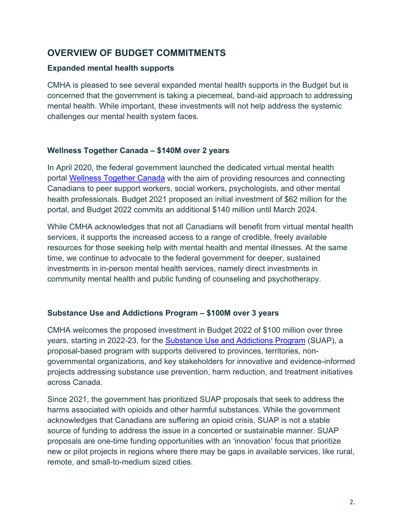## **OVERVIEW OF BUDGET COMMITMENTS**

#### **Expanded mental health supports**

CMHA is pleased to see several expanded mental health supports in the Budget but is concerned that the government is taking a piecemeal, band-aid approach to addressing mental health. While important, these investments will not help address the systemic challenges our mental health system faces.

### **Wellness Together Canada – \$140M over 2 years**

In April 2020, the federal government launched the dedicated virtual mental health portal [Wellness Together Canada](https://www.wellnesstogether.ca/en-CA) with the aim of providing resources and connecting Canadians to peer support workers, social workers, psychologists, and other mental health professionals. Budget 2021 proposed an initial investment of \$62 million for the portal, and Budget 2022 commits an additional \$140 million until March 2024.

While CMHA acknowledges that not all Canadians will benefit from virtual mental health services, it supports the increased access to a range of credible, freely available resources for those seeking help with mental health and mental illnesses. At the same time, we continue to advocate to the federal government for deeper, sustained investments in in-person mental health services, namely direct investments in community mental health and public funding of counseling and psychotherapy.

### **Substance Use and Addictions Program – \$100M over 3 years**

CMHA welcomes the proposed investment in Budget 2022 of \$100 million over three years, starting in 2022-23, for the [Substance Use and Addictions Program](https://www.canada.ca/en/health-canada/services/substance-use/canadian-drugs-substances-strategy/funding/substance-use-addictions-program.html) (SUAP), a proposal-based program with supports delivered to provinces, territories, nongovernmental organizations, and key stakeholders for innovative and evidence-informed projects addressing substance use prevention, harm reduction, and treatment initiatives across Canada.

Since 2021, the government has prioritized SUAP proposals that seek to address the harms associated with opioids and other harmful substances. While the government acknowledges that Canadians are suffering an opioid crisis, SUAP is not a stable source of funding to address the issue in a concerted or sustainable manner. SUAP proposals are one-time funding opportunities with an 'innovation' focus that prioritize new or pilot projects in regions where there may be gaps in available services, like rural, remote, and small-to-medium sized cities.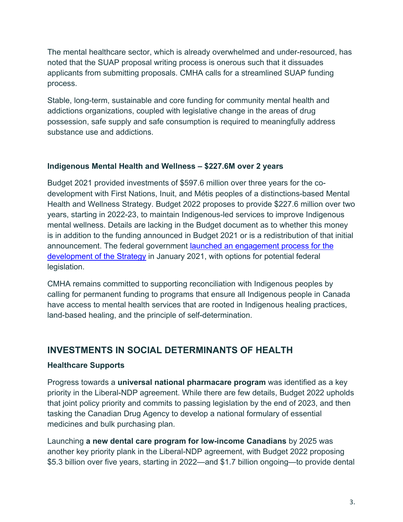The mental healthcare sector, which is already overwhelmed and under-resourced, has noted that the SUAP proposal writing process is onerous such that it dissuades applicants from submitting proposals. CMHA calls for a streamlined SUAP funding process.

Stable, long-term, sustainable and core funding for community mental health and addictions organizations, coupled with legislative change in the areas of drug possession, safe supply and safe consumption is required to meaningfully address substance use and addictions.

## **Indigenous Mental Health and Wellness – \$227.6M over 2 years**

Budget 2021 provided investments of \$597.6 million over three years for the codevelopment with First Nations, Inuit, and Métis peoples of a distinctions-based Mental Health and Wellness Strategy. Budget 2022 proposes to provide \$227.6 million over two years, starting in 2022-23, to maintain Indigenous-led services to improve Indigenous mental wellness. Details are lacking in the Budget document as to whether this money is in addition to the funding announced in Budget 2021 or is a redistribution of that initial announcement. The federal government **launched an engagement process for the** [development of the Strategy](https://www.sac-isc.gc.ca/eng/1611843547229/1611844047055) in January 2021, with options for potential federal legislation.

CMHA remains committed to supporting reconciliation with Indigenous peoples by calling for permanent funding to programs that ensure all Indigenous people in Canada have access to mental health services that are rooted in Indigenous healing practices, land-based healing, and the principle of self-determination.

## **INVESTMENTS IN SOCIAL DETERMINANTS OF HEALTH**

### **Healthcare Supports**

Progress towards a **universal national pharmacare program** was identified as a key priority in the Liberal-NDP agreement. While there are few details, Budget 2022 upholds that joint policy priority and commits to passing legislation by the end of 2023, and then tasking the Canadian Drug Agency to develop a national formulary of essential medicines and bulk purchasing plan.

Launching **a new dental care program for low-income Canadians** by 2025 was another key priority plank in the Liberal-NDP agreement, with Budget 2022 proposing \$5.3 billion over five years, starting in 2022—and \$1.7 billion ongoing—to provide dental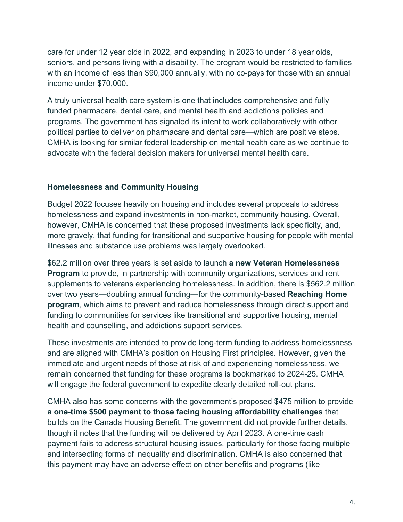care for under 12 year olds in 2022, and expanding in 2023 to under 18 year olds, seniors, and persons living with a disability. The program would be restricted to families with an income of less than \$90,000 annually, with no co-pays for those with an annual income under \$70,000.

A truly universal health care system is one that includes comprehensive and fully funded pharmacare, dental care, and mental health and addictions policies and programs. The government has signaled its intent to work collaboratively with other political parties to deliver on pharmacare and dental care—which are positive steps. CMHA is looking for similar federal leadership on mental health care as we continue to advocate with the federal decision makers for universal mental health care.

### **Homelessness and Community Housing**

Budget 2022 focuses heavily on housing and includes several proposals to address homelessness and expand investments in non-market, community housing. Overall, however, CMHA is concerned that these proposed investments lack specificity, and, more gravely, that funding for transitional and supportive housing for people with mental illnesses and substance use problems was largely overlooked.

\$62.2 million over three years is set aside to launch **a new Veteran Homelessness Program** to provide, in partnership with community organizations, services and rent supplements to veterans experiencing homelessness. In addition, there is \$562.2 million over two years—doubling annual funding—for the community-based **Reaching Home program**, which aims to prevent and reduce homelessness through direct support and funding to communities for services like transitional and supportive housing, mental health and counselling, and addictions support services.

These investments are intended to provide long-term funding to address homelessness and are aligned with CMHA's position on Housing First principles. However, given the immediate and urgent needs of those at risk of and experiencing homelessness, we remain concerned that funding for these programs is bookmarked to 2024-25. CMHA will engage the federal government to expedite clearly detailed roll-out plans.

CMHA also has some concerns with the government's proposed \$475 million to provide **a one-time \$500 payment to those facing housing affordability challenges** that builds on the Canada Housing Benefit. The government did not provide further details, though it notes that the funding will be delivered by April 2023. A one-time cash payment fails to address structural housing issues, particularly for those facing multiple and intersecting forms of inequality and discrimination. CMHA is also concerned that this payment may have an adverse effect on other benefits and programs (like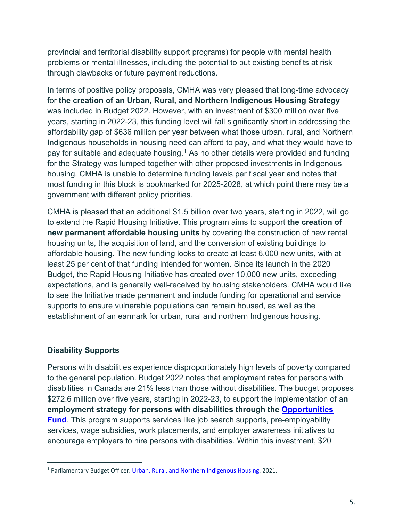provincial and territorial disability support programs) for people with mental health problems or mental illnesses, including the potential to put existing benefits at risk through clawbacks or future payment reductions.

In terms of positive policy proposals, CMHA was very pleased that long-time advocacy for **the creation of an Urban, Rural, and Northern Indigenous Housing Strategy** was included in Budget 2022. However, with an investment of \$300 million over five years, starting in 2022-23, this funding level will fall significantly short in addressing the affordability gap of \$636 million per year between what those urban, rural, and Northern Indigenous households in housing need can afford to pay, and what they would have to pay for suitable and adequate housing.<sup>[1](#page-5-0)</sup> As no other details were provided and funding for the Strategy was lumped together with other proposed investments in Indigenous housing, CMHA is unable to determine funding levels per fiscal year and notes that most funding in this block is bookmarked for 2025-2028, at which point there may be a government with different policy priorities.

CMHA is pleased that an additional \$1.5 billion over two years, starting in 2022, will go to extend the Rapid Housing Initiative. This program aims to support **the creation of new permanent affordable housing units** by covering the construction of new rental housing units, the acquisition of land, and the conversion of existing buildings to affordable housing. The new funding looks to create at least 6,000 new units, with at least 25 per cent of that funding intended for women. Since its launch in the 2020 Budget, the Rapid Housing Initiative has created over 10,000 new units, exceeding expectations, and is generally well-received by housing stakeholders. CMHA would like to see the Initiative made permanent and include funding for operational and service supports to ensure vulnerable populations can remain housed, as well as the establishment of an earmark for urban, rural and northern Indigenous housing.

### **Disability Supports**

Persons with disabilities experience disproportionately high levels of poverty compared to the general population. Budget 2022 notes that employment rates for persons with disabilities in Canada are 21% less than those without disabilities. The budget proposes \$272.6 million over five years, starting in 2022-23, to support the implementation of **an employment strategy for persons with disabilities through the [Opportunities](https://www.canada.ca/en/employment-social-development/services/funding/disability-opportunity-regional.html)  [Fund](https://www.canada.ca/en/employment-social-development/services/funding/disability-opportunity-regional.html)**. This program supports services like job search supports, pre-employability services, wage subsidies, work placements, and employer awareness initiatives to encourage employers to hire persons with disabilities. Within this investment, \$20

<span id="page-5-0"></span><sup>1</sup> Parliamentary Budget Officer[. Urban, Rural, and Northern Indigenous Housing.](https://www.pbo-dpb.gc.ca/en/blog/news/RP-2021-039-C--urban-rural-northern-indigenous-housing--logement-autochtones-vivant-en-milieu-urbain-rural-nordique) 2021.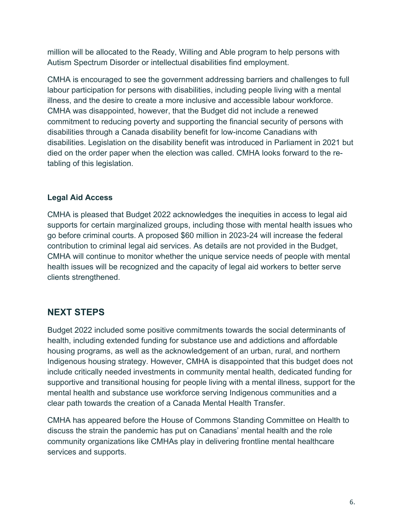million will be allocated to the Ready, Willing and Able program to help persons with Autism Spectrum Disorder or intellectual disabilities find employment.

CMHA is encouraged to see the government addressing barriers and challenges to full labour participation for persons with disabilities, including people living with a mental illness, and the desire to create a more inclusive and accessible labour workforce. CMHA was disappointed, however, that the Budget did not include a renewed commitment to reducing poverty and supporting the financial security of persons with disabilities through a Canada disability benefit for low-income Canadians with disabilities. Legislation on the disability benefit was introduced in Parliament in 2021 but died on the order paper when the election was called. CMHA looks forward to the retabling of this legislation.

## **Legal Aid Access**

CMHA is pleased that Budget 2022 acknowledges the inequities in access to legal aid supports for certain marginalized groups, including those with mental health issues who go before criminal courts. A proposed \$60 million in 2023-24 will increase the federal contribution to criminal legal aid services. As details are not provided in the Budget, CMHA will continue to monitor whether the unique service needs of people with mental health issues will be recognized and the capacity of legal aid workers to better serve clients strengthened.

## **NEXT STEPS**

Budget 2022 included some positive commitments towards the social determinants of health, including extended funding for substance use and addictions and affordable housing programs, as well as the acknowledgement of an urban, rural, and northern Indigenous housing strategy. However, CMHA is disappointed that this budget does not include critically needed investments in community mental health, dedicated funding for supportive and transitional housing for people living with a mental illness, support for the mental health and substance use workforce serving Indigenous communities and a clear path towards the creation of a Canada Mental Health Transfer.

CMHA has appeared before the House of Commons Standing Committee on Health to discuss the strain the pandemic has put on Canadians' mental health and the role community organizations like CMHAs play in delivering frontline mental healthcare services and supports.